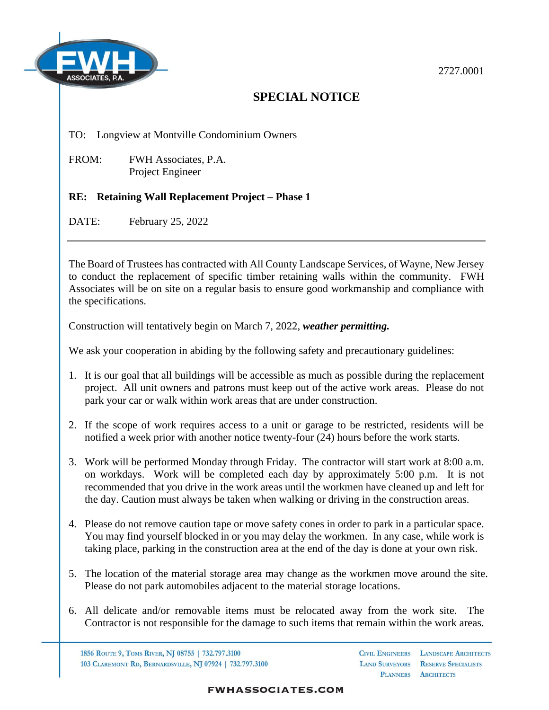

## 2727.0001

## **SPECIAL NOTICE**

## TO: Longview at Montville Condominium Owners

FROM: FWH Associates, P.A. Project Engineer

## **RE: Retaining Wall Replacement Project – Phase 1**

DATE: February 25, 2022

The Board of Trustees has contracted with All County Landscape Services, of Wayne, New Jersey to conduct the replacement of specific timber retaining walls within the community. FWH Associates will be on site on a regular basis to ensure good workmanship and compliance with the specifications.

Construction will tentatively begin on March 7, 2022, *weather permitting.*

We ask your cooperation in abiding by the following safety and precautionary guidelines:

- 1. It is our goal that all buildings will be accessible as much as possible during the replacement project. All unit owners and patrons must keep out of the active work areas. Please do not park your car or walk within work areas that are under construction.
- 2. If the scope of work requires access to a unit or garage to be restricted, residents will be notified a week prior with another notice twenty-four (24) hours before the work starts.
- 3. Work will be performed Monday through Friday. The contractor will start work at 8:00 a.m. on workdays. Work will be completed each day by approximately 5:00 p.m. It is not recommended that you drive in the work areas until the workmen have cleaned up and left for the day. Caution must always be taken when walking or driving in the construction areas.
- 4. Please do not remove caution tape or move safety cones in order to park in a particular space. You may find yourself blocked in or you may delay the workmen. In any case, while work is taking place, parking in the construction area at the end of the day is done at your own risk.
- 5. The location of the material storage area may change as the workmen move around the site. Please do not park automobiles adjacent to the material storage locations.
- 6. All delicate and/or removable items must be relocated away from the work site. The Contractor is not responsible for the damage to such items that remain within the work areas.

1856 ROUTE 9, TOMS RIVER, NJ 08755 | 732.797.3100 103 CLAREMONT RD, BERNARDSVILLE, NJ 07924 | 732.797.3100